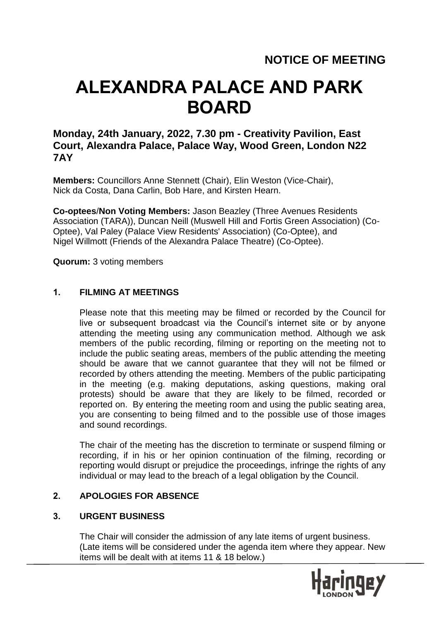# **ALEXANDRA PALACE AND PARK BOARD**

**Monday, 24th January, 2022, 7.30 pm - Creativity Pavilion, East Court, Alexandra Palace, Palace Way, Wood Green, London N22 7AY**

**Members:** Councillors Anne Stennett (Chair), Elin Weston (Vice-Chair), Nick da Costa, Dana Carlin, Bob Hare, and Kirsten Hearn.

**Co-optees**/**Non Voting Members:** Jason Beazley (Three Avenues Residents Association (TARA)), Duncan Neill (Muswell Hill and Fortis Green Association) (Co-Optee), Val Paley (Palace View Residents' Association) (Co-Optee), and Nigel Willmott (Friends of the Alexandra Palace Theatre) (Co-Optee).

**Quorum:** 3 voting members

# **1. FILMING AT MEETINGS**

Please note that this meeting may be filmed or recorded by the Council for live or subsequent broadcast via the Council's internet site or by anyone attending the meeting using any communication method. Although we ask members of the public recording, filming or reporting on the meeting not to include the public seating areas, members of the public attending the meeting should be aware that we cannot guarantee that they will not be filmed or recorded by others attending the meeting. Members of the public participating in the meeting (e.g. making deputations, asking questions, making oral protests) should be aware that they are likely to be filmed, recorded or reported on. By entering the meeting room and using the public seating area, you are consenting to being filmed and to the possible use of those images and sound recordings.

The chair of the meeting has the discretion to terminate or suspend filming or recording, if in his or her opinion continuation of the filming, recording or reporting would disrupt or prejudice the proceedings, infringe the rights of any individual or may lead to the breach of a legal obligation by the Council.

# **2. APOLOGIES FOR ABSENCE**

# **3. URGENT BUSINESS**

The Chair will consider the admission of any late items of urgent business. (Late items will be considered under the agenda item where they appear. New items will be dealt with at items 11 & 18 below.)

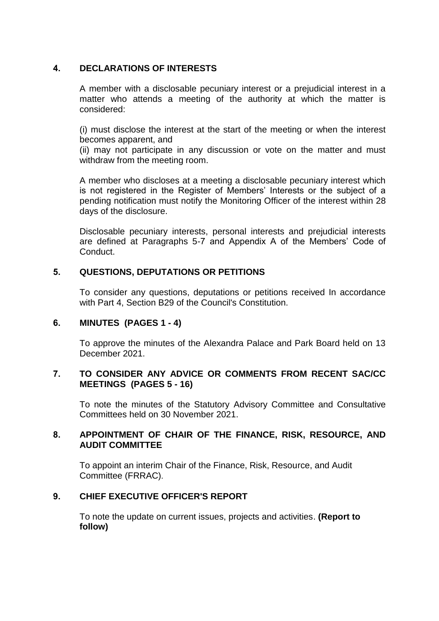## **4. DECLARATIONS OF INTERESTS**

A member with a disclosable pecuniary interest or a prejudicial interest in a matter who attends a meeting of the authority at which the matter is considered:

(i) must disclose the interest at the start of the meeting or when the interest becomes apparent, and

(ii) may not participate in any discussion or vote on the matter and must withdraw from the meeting room.

A member who discloses at a meeting a disclosable pecuniary interest which is not registered in the Register of Members' Interests or the subject of a pending notification must notify the Monitoring Officer of the interest within 28 days of the disclosure.

Disclosable pecuniary interests, personal interests and prejudicial interests are defined at Paragraphs 5-7 and Appendix A of the Members' Code of Conduct.

## **5. QUESTIONS, DEPUTATIONS OR PETITIONS**

To consider any questions, deputations or petitions received In accordance with Part 4, Section B29 of the Council's Constitution.

#### **6. MINUTES (PAGES 1 - 4)**

To approve the minutes of the Alexandra Palace and Park Board held on 13 December 2021.

## **7. TO CONSIDER ANY ADVICE OR COMMENTS FROM RECENT SAC/CC MEETINGS (PAGES 5 - 16)**

To note the minutes of the Statutory Advisory Committee and Consultative Committees held on 30 November 2021.

#### **8. APPOINTMENT OF CHAIR OF THE FINANCE, RISK, RESOURCE, AND AUDIT COMMITTEE**

To appoint an interim Chair of the Finance, Risk, Resource, and Audit Committee (FRRAC).

# **9. CHIEF EXECUTIVE OFFICER'S REPORT**

To note the update on current issues, projects and activities. **(Report to follow)**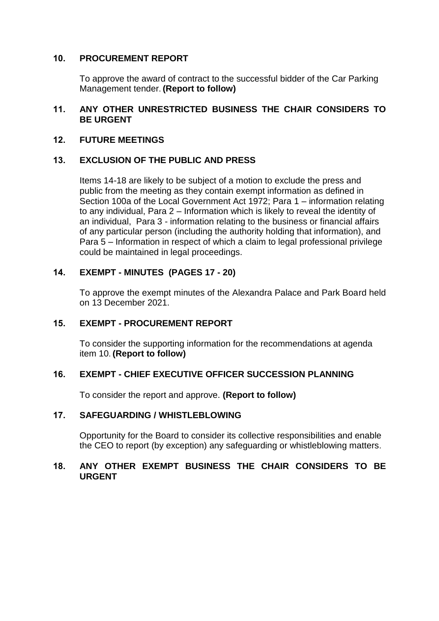#### **10. PROCUREMENT REPORT**

To approve the award of contract to the successful bidder of the Car Parking Management tender. **(Report to follow)**

#### **11. ANY OTHER UNRESTRICTED BUSINESS THE CHAIR CONSIDERS TO BE URGENT**

#### **12. FUTURE MEETINGS**

#### **13. EXCLUSION OF THE PUBLIC AND PRESS**

Items 14-18 are likely to be subject of a motion to exclude the press and public from the meeting as they contain exempt information as defined in Section 100a of the Local Government Act 1972; Para 1 – information relating to any individual, Para 2 – Information which is likely to reveal the identity of an individual, Para 3 - information relating to the business or financial affairs of any particular person (including the authority holding that information), and Para 5 – Information in respect of which a claim to legal professional privilege could be maintained in legal proceedings.

#### **14. EXEMPT - MINUTES (PAGES 17 - 20)**

To approve the exempt minutes of the Alexandra Palace and Park Board held on 13 December 2021.

#### **15. EXEMPT - PROCUREMENT REPORT**

To consider the supporting information for the recommendations at agenda item 10. **(Report to follow)**

#### **16. EXEMPT - CHIEF EXECUTIVE OFFICER SUCCESSION PLANNING**

To consider the report and approve. **(Report to follow)**

#### **17. SAFEGUARDING / WHISTLEBLOWING**

Opportunity for the Board to consider its collective responsibilities and enable the CEO to report (by exception) any safeguarding or whistleblowing matters.

#### **18. ANY OTHER EXEMPT BUSINESS THE CHAIR CONSIDERS TO BE URGENT**